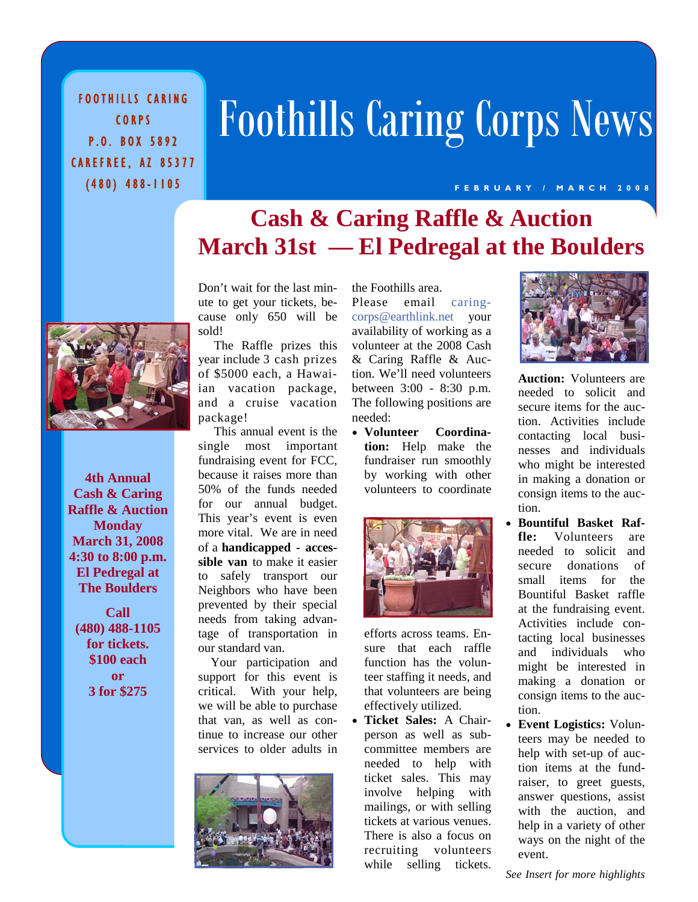FOOTHILLS CARING CORPS P.O. BOX 5892 CAREFREE, AZ 85377 (480) 488-1105

# Foothills Caring Corps News

#### **FEBRUARY / MARCH 2008**

# **Cash & Caring Raffle & Auction March 31st — El Pedregal at the Boulders**



**4th Annual Cash & Caring Raffle & Auction Monday March 31, 2008 4:30 to 8:00 p.m. El Pedregal at The Boulders** 

**Call (480) 488-1105 for tickets. \$100 each or 3 for \$275** 

Don't wait for the last minute to get your tickets, because only 650 will be sold!

 The Raffle prizes this year include 3 cash prizes of \$5000 each, a Hawaiian vacation package, and a cruise vacation package!

 This annual event is the single most important fundraising event for FCC, because it raises more than 50% of the funds needed for our annual budget. This year's event is even more vital. We are in need of a **handicapped - accessible van** to make it easier to safely transport our Neighbors who have been prevented by their special needs from taking advantage of transportation in our standard van.

 Your participation and support for this event is critical. With your help, we will be able to purchase that van, as well as continue to increase our other services to older adults in



the Foothills area. Please email caringcorps@earthlink.net your availability of working as a volunteer at the 2008 Cash & Caring Raffle & Auction. We'll need volunteers between 3:00 - 8:30 p.m. The following positions are needed:

• **Volunteer Coordination:** Help make the fundraiser run smoothly by working with other volunteers to coordinate



efforts across teams. Ensure that each raffle function has the volunteer staffing it needs, and that volunteers are being effectively utilized.

• **Ticket Sales:** A Chairperson as well as subcommittee members are needed to help with ticket sales. This may involve helping with mailings, or with selling tickets at various venues. There is also a focus on recruiting volunteers while selling tickets.



**Auction:** Volunteers are needed to solicit and secure items for the auction. Activities include contacting local businesses and individuals who might be interested in making a donation or consign items to the auction.

- **Bountiful Basket Raffle:** Volunteers are needed to solicit and secure donations of small items for the Bountiful Basket raffle at the fundraising event. Activities include contacting local businesses and individuals who might be interested in making a donation or consign items to the auction.
- **Event Logistics:** Volunteers may be needed to help with set-up of auction items at the fundraiser, to greet guests, answer questions, assist with the auction, and help in a variety of other ways on the night of the event.

*See Insert for more highlights*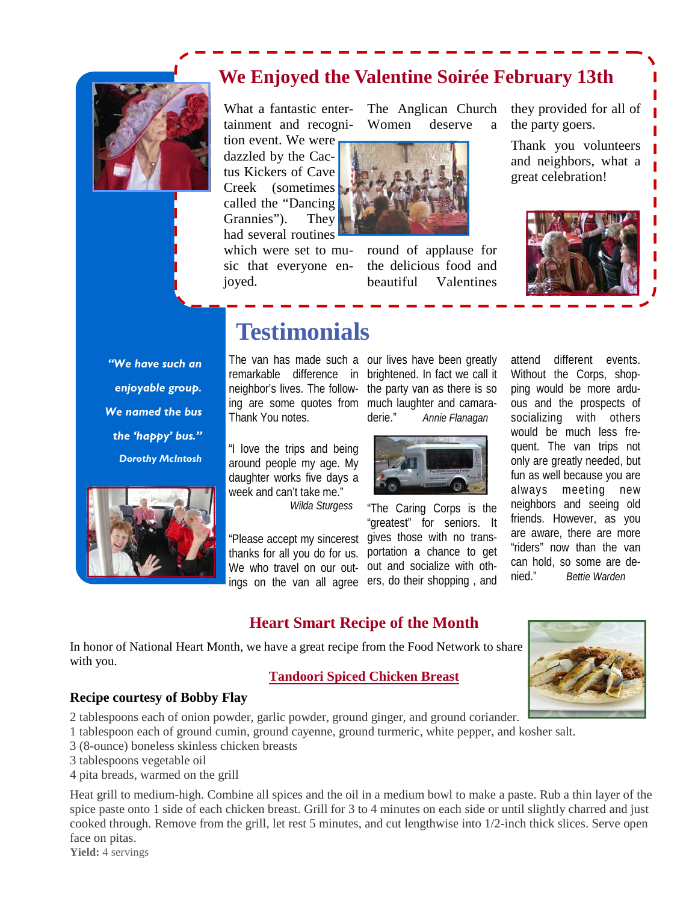# **We Enjoyed the Valentine Soirée February 13th**



What a fantastic entertainment and recogni-

The Anglican Church Women deserve a

tion event. We were dazzled by the Cactus Kickers of Cave Creek (sometimes called the "Dancing Grannies"). They had several routines which were set to music that everyone en-

joyed.



round of applause for the delicious food and beautiful Valentines

they provided for all of the party goers.

Thank you volunteers and neighbors, what a great celebration!



*"We have such an enjoyable group. We named the bus the 'happy' bus." Dorothy McIntosh* 



# **Testimonials**

The van has made such a our lives have been greatly Thank You notes.

"I love the trips and being around people my age. My daughter works five days a week and can't take me."

*Wilda Sturgess*

ings on the van all agree ers, do their shopping, and thanks for all you do for us.

remarkable difference in brightened. In fact we call it neighbor's lives. The follow- the party van as there is so ing are some quotes from much laughter and camaraderie." *Annie Flanagan*



"The Caring Corps is the "greatest" for seniors. It "Please accept my sincerest gives those with no transportation a chance to get We who travel on our out- out and socialize with othattend different events. Without the Corps, shopping would be more arduous and the prospects of socializing with others would be much less frequent. The van trips not only are greatly needed, but fun as well because you are always meeting new neighbors and seeing old friends. However, as you are aware, there are more "riders" now than the van can hold, so some are denied." *Bettie Warden*

## **Heart Smart Recipe of the Month**

In honor of National Heart Month, we have a great recipe from the Food Network to share with you.

#### **Tandoori Spiced Chicken Breast**



### **Recipe courtesy of Bobby Flay**

2 tablespoons each of onion powder, garlic powder, ground ginger, and ground coriander.

1 tablespoon each of ground cumin, ground cayenne, ground turmeric, white pepper, and kosher salt.

- 3 (8-ounce) boneless skinless chicken breasts
- 3 tablespoons vegetable oil
- 4 pita breads, warmed on the grill

Heat grill to medium-high. Combine all spices and the oil in a medium bowl to make a paste. Rub a thin layer of the spice paste onto 1 side of each chicken breast. Grill for 3 to 4 minutes on each side or until slightly charred and just cooked through. Remove from the grill, let rest 5 minutes, and cut lengthwise into 1/2-inch thick slices. Serve open face on pitas.

**Yield:** 4 servings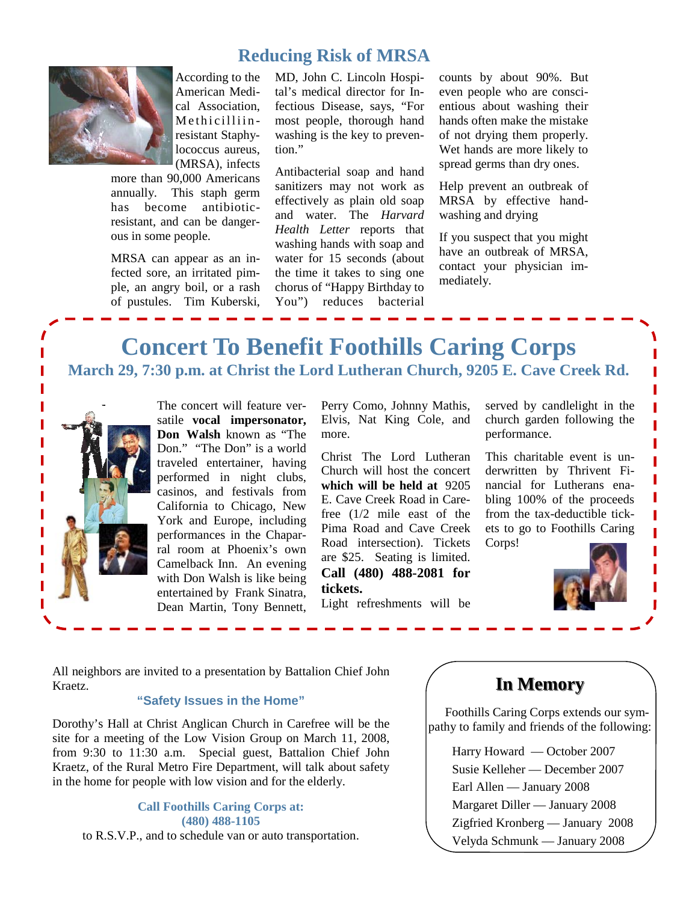## **Reducing Risk of MRSA**



According to the American Medical Association, Methicilliinresistant Staphylococcus aureus, (MRSA), infects

more than 90,000 Americans annually. This staph germ has become antibioticresistant, and can be dangerous in some people.

MRSA can appear as an infected sore, an irritated pimple, an angry boil, or a rash of pustules. Tim Kuberski,

MD, John C. Lincoln Hospital's medical director for Infectious Disease, says, "For most people, thorough hand washing is the key to prevention."

Antibacterial soap and hand sanitizers may not work as effectively as plain old soap and water. The *Harvard Health Letter* reports that washing hands with soap and water for 15 seconds (about the time it takes to sing one chorus of "Happy Birthday to You") reduces bacterial

counts by about 90%. But even people who are conscientious about washing their hands often make the mistake of not drying them properly. Wet hands are more likely to spread germs than dry ones.

Help prevent an outbreak of MRSA by effective handwashing and drying

If you suspect that you might have an outbreak of MRSA, contact your physician immediately.

# **Concert To Benefit Foothills Caring Corps March 29, 7:30 p.m. at Christ the Lord Lutheran Church, 9205 E. Cave Creek Rd.**



The concert will feature versatile **vocal impersonator, Don Walsh** known as "The Don." "The Don" is a world traveled entertainer, having performed in night clubs, casinos, and festivals from California to Chicago, New York and Europe, including performances in the Chaparral room at Phoenix's own Camelback Inn. An evening with Don Walsh is like being entertained by Frank Sinatra, Dean Martin, Tony Bennett,

Perry Como, Johnny Mathis, Elvis, Nat King Cole, and more.

Christ The Lord Lutheran Church will host the concert **which will be held at** 9205 E. Cave Creek Road in Carefree (1/2 mile east of the Pima Road and Cave Creek Road intersection). Tickets are \$25. Seating is limited. **Call (480) 488-2081 for tickets.** Light refreshments will be

served by candlelight in the church garden following the performance.

This charitable event is underwritten by Thrivent Financial for Lutherans enabling 100% of the proceeds from the tax-deductible tickets to go to Foothills Caring Corps!



All neighbors are invited to a presentation by Battalion Chief John Kraetz.

#### **"Safety Issues in the Home"**

Dorothy's Hall at Christ Anglican Church in Carefree will be the site for a meeting of the Low Vision Group on March 11, 2008, from 9:30 to 11:30 a.m. Special guest, Battalion Chief John Kraetz, of the Rural Metro Fire Department, will talk about safety in the home for people with low vision and for the elderly.

#### **Call Foothills Caring Corps at: (480) 488-1105**

to R.S.V.P., and to schedule van or auto transportation.

# **In Memory In Memory**

 Foothills Caring Corps extends our sympathy to family and friends of the following:

 Harry Howard — October 2007 Susie Kelleher — December 2007 Earl Allen — January 2008 Margaret Diller — January 2008 Zigfried Kronberg — January 2008 Velyda Schmunk — January 2008